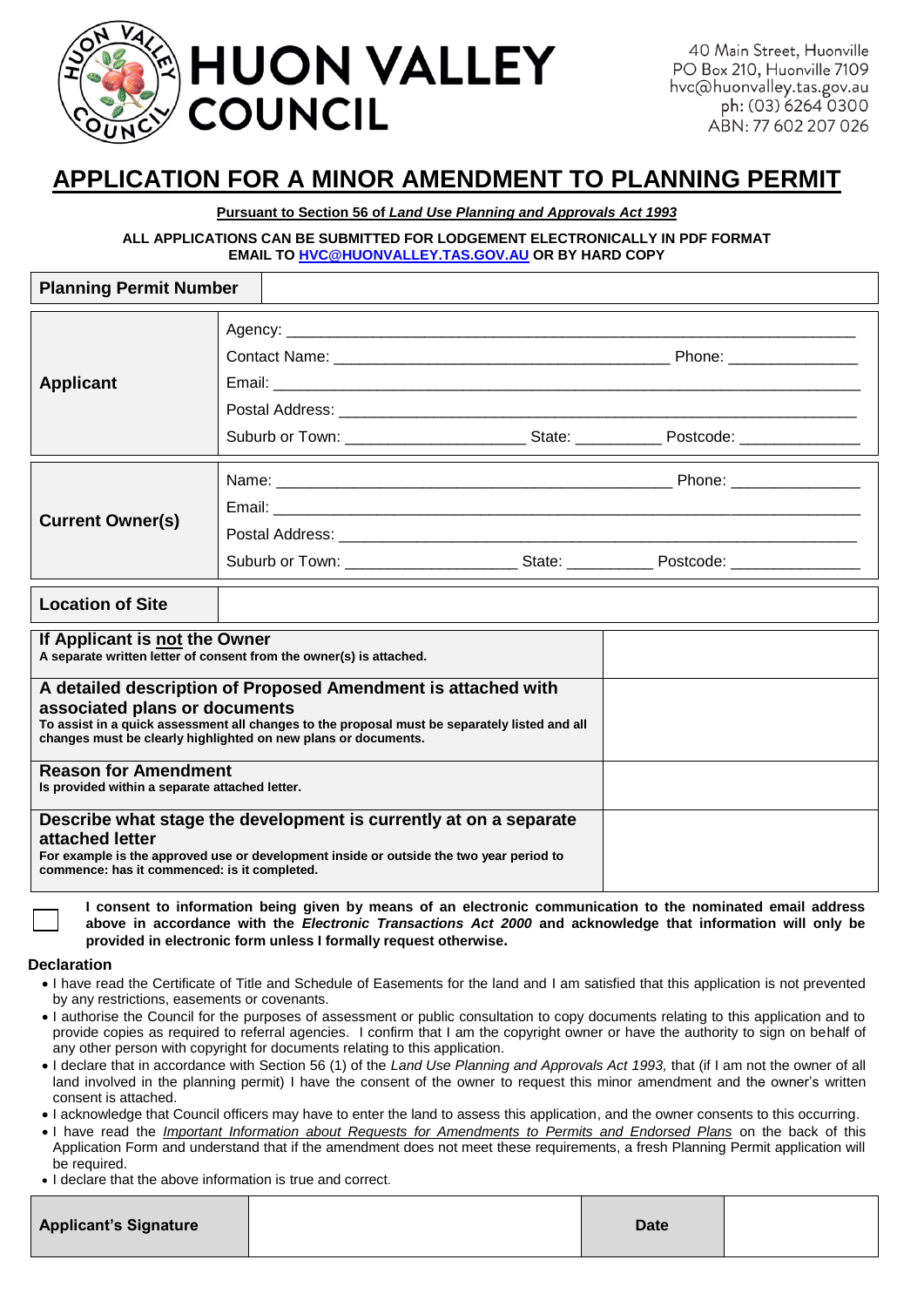

40 Main Street, Huonville PO Box 210, Huonville 7109 hvc@huonvalley.tas.gov.au ph: (03) 6264 0300 ABN: 77 602 207 026

## **APPLICATION FOR A MINOR AMENDMENT TO PLANNING PERMIT**

**Pursuant to Section 56 of** *Land Use Planning and Approvals Act 1993*

## **ALL APPLICATIONS CAN BE SUBMITTED FOR LODGEMENT ELECTRONICALLY IN PDF FORMAT EMAIL TO [HVC@HUONVALLEY.TAS.GOV.AU](mailto:HVC@HUONVALLEY.TAS.GOV.AU) OR BY HARD COPY**

| <b>Planning Permit Number</b>                                                                                                                                                                                                                                                                  |                                                                                   |  |  |  |  |
|------------------------------------------------------------------------------------------------------------------------------------------------------------------------------------------------------------------------------------------------------------------------------------------------|-----------------------------------------------------------------------------------|--|--|--|--|
| <b>Applicant</b>                                                                                                                                                                                                                                                                               | Suburb or Town: _________________________State: _________________________________ |  |  |  |  |
| <b>Current Owner(s)</b>                                                                                                                                                                                                                                                                        |                                                                                   |  |  |  |  |
| <b>Location of Site</b>                                                                                                                                                                                                                                                                        |                                                                                   |  |  |  |  |
| If Applicant is not the Owner<br>A separate written letter of consent from the owner(s) is attached.                                                                                                                                                                                           |                                                                                   |  |  |  |  |
| A detailed description of Proposed Amendment is attached with<br>associated plans or documents<br>To assist in a quick assessment all changes to the proposal must be separately listed and all<br>changes must be clearly highlighted on new plans or documents.                              |                                                                                   |  |  |  |  |
| <b>Reason for Amendment</b><br>Is provided within a separate attached letter.                                                                                                                                                                                                                  |                                                                                   |  |  |  |  |
| Describe what stage the development is currently at on a separate<br>attached letter<br>For example is the approved use or development inside or outside the two year period to<br>commence: has it commenced: is it completed.                                                                |                                                                                   |  |  |  |  |
| I consent to information being given by means of an electronic communication to the nominated email address<br>above in accordance with the Electronic Transactions Act 2000 and acknowledge that information will only be<br>provided in electronic form unless I formally request otherwise. |                                                                                   |  |  |  |  |

## **Declaration**

- I have read the Certificate of Title and Schedule of Easements for the land and I am satisfied that this application is not prevented by any restrictions, easements or covenants.
- I authorise the Council for the purposes of assessment or public consultation to copy documents relating to this application and to provide copies as required to referral agencies. I confirm that I am the copyright owner or have the authority to sign on behalf of any other person with copyright for documents relating to this application.
- I declare that in accordance with Section 56 (1) of the *Land Use Planning and Approvals Act 1993,* that (if I am not the owner of all land involved in the planning permit) I have the consent of the owner to request this minor amendment and the owner's written consent is attached.
- I acknowledge that Council officers may have to enter the land to assess this application, and the owner consents to this occurring.
- I have read the *Important Information about Requests for Amendments to Permits and Endorsed Plans* on the back of this Application Form and understand that if the amendment does not meet these requirements, a fresh Planning Permit application will be required.
- I declare that the above information is true and correct.

| <b>Applicant's Signature</b> |  | <b>Date</b> |  |
|------------------------------|--|-------------|--|
|------------------------------|--|-------------|--|